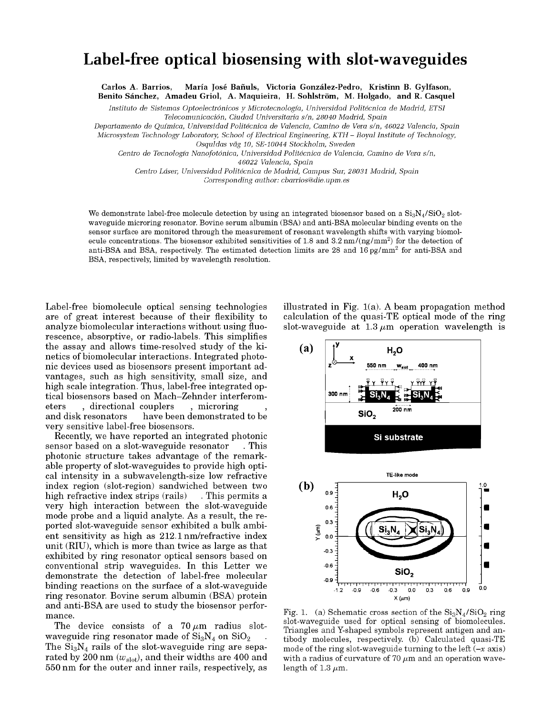## **Label-free optical biosensing with slot-waveguides**

**Carlos A. Barrios, Maria Jose Banuls, Victoria Gonzalez-Pedro, Kristinn B. Gylfason, Benito Sanchez, Amadeu Griol, A. Maquieira, H. Sohlstrom, M. Holgado, and R. Casquel** 

*Instituto de Sistemas Optoelectronicos y Microtecnologia, Universidad Politecnica de Madrid, ETSI Telecomunicacion, Ciudad Universitaria s/n, 28040 Madrid, Spain* 

*Departamento de Quimica, Universidad Politecnica de Valencia, Camino de Vera s/n, 46022 Valencia, Spain Microsystem Technology Laboratory, School of Electrical Engineering, KTH - Royal Institute of Technology,* 

*Osquldas vag 10, SE-10044 Stockholm, Sweden* 

*Centro de Tecnologia Nanofotonica, Universidad Politecnica de Valencia, Camino de Vera s/n,* 

*46022 Valencia, Spain* 

*Centro Laser, Universidad Politecnica de Madrid, Campus Sur, 28031 Madrid, Spain* 

*Corresponding author: [cbarrios@die.upm.es](mailto:cbarrios@die.upm.es)* 

We demonstrate label-free molecule detection by using an integrated biosensor based on a  $\rm{Si_3N_4/SiO_2}$  slotwaveguide microring resonator. Bovine serum albumin (BSA) and anti-BSA molecular binding events on the sensor surface are monitored through the measurement of resonant wavelength shifts with varying biomolecule concentrations. The biosensor exhibited sensitivities of 1.8 and 3.2 nm/(ng/mm<sup>2</sup>) for the detection of anti-BSA and BSA, respectively. The estimated detection limits are 28 and  $16\,\mathrm{pg/mm^2}$  for anti-BSA and BSA, respectively, limited by wavelength resolution.

Label-free biomolecule optical sensing technologies are of great interest because of their flexibility to analyze biomolecular interactions without using fluorescence, absorptive, or radio-labels. This simplifies the assay and allows time-resolved study of the kinetics of biomolecular interactions. Integrated photonic devices used as biosensors present important advantages, such as high sensitivity, small size, and high scale integration. Thus, label-free integrated optical biosensors based on Mach-Zehnder interferometers , directional couplers<br>and disk resonators have been have been demonstrated to be very sensitive label-free biosensors.

Recently, we have reported an integrated photonic sensor based on a slot-waveguide resonator . This photonic structure takes advantage of the remarkable property of slot-waveguides to provide high optical intensity in a subwavelength-size low refractive index region (slot-region) sandwiched between two high refractive index strips (rails) . This permits a very high interaction between the slot-waveguide mode probe and a liquid analyte. As a result, the reported slot-waveguide sensor exhibited a bulk ambient sensitivity as high as 212.1 nm/refractive index unit (RIU), which is more than twice as large as that exhibited by ring resonator optical sensors based on conventional strip waveguides. In this Letter we demonstrate the detection of label-free molecular binding reactions on the surface of a slot-waveguide ring resonator. Bovine serum albumin (BSA) protein and anti-BSA are used to study the biosensor performance.

The device consists of a  $70 \mu m$  radius slotwaveguide ring resonator made of  $Si<sub>3</sub>N<sub>4</sub>$  on  $SiO<sub>2</sub>$ The  $Si<sub>3</sub>N<sub>4</sub>$  rails of the slot-waveguide ring are separated by 200 nm  $(w_{slot})$ , and their widths are 400 and 550 nm for the outer and inner rails, respectively, as illustrated in Fig. 1(a). A beam propagation method calculation of the quasi-TE optical mode of the ring slot-waveguide at  $1.3 \mu m$  operation wavelength is



Fig. 1. (a) Schematic cross section of the  $Si<sub>3</sub>N<sub>4</sub>/SiO<sub>2</sub>$  ring slot-waveguide used for optical sensing of biomolecules. Triangles and Y-shaped symbols represent antigen and antibody molecules, respectively, (b) Calculated quasi-TE mode of the ring slot-waveguide turning to the left *{-x* axis) with a radius of curvature of 70  $\mu$ m and an operation wavelength of  $1.3 \mu$ m.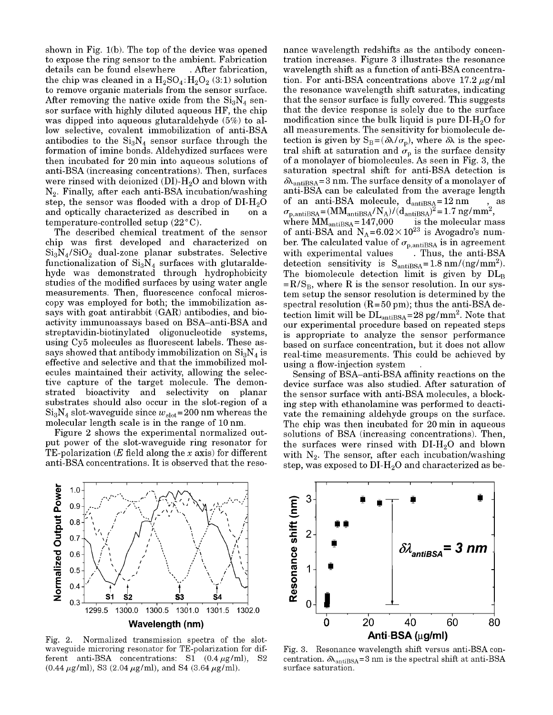shown in Fig. 1(b). The top of the device was opened to expose the ring sensor to the ambient. Fabrication details can be found elsewhere . After fabrication, the chip was cleaned in a  $H_2SO_4$ :  $H_2O_2$  (3:1) solution to remove organic materials from the sensor surface. After removing the native oxide from the  $Si<sub>3</sub>N<sub>4</sub>$  sensor surface with highly diluted aqueous HF, the chip was dipped into aqueous glutaraldehyde (5%) to allow selective, covalent immobilization of anti-BSA antibodies to the  $Si<sub>3</sub>N<sub>4</sub>$  sensor surface through the formation of imine bonds. Aldehydized surfaces were then incubated for 20 min into aqueous solutions of anti-BSA (increasing concentrations). Then, surfaces were rinsed with deionized  $(DI)-H<sub>2</sub>O$  and blown with  $N_2$ . Finally, after each anti-BSA incubation/washing step, the sensor was flooded with a drop of  $DI-H_2O$ and optically characterized as described in on a temperature-controlled setup  $(22^{\circ}C)$ .

The described chemical treatment of the sensor chip was first developed and characterized on  $\text{Si}_3\text{N}_4/\text{SiO}_2$  dual-zone planar substrates. Selective functionalization of  $Si<sub>3</sub>N<sub>4</sub>$  surfaces with glutaraldehyde was demonstrated through hydrophobicity studies of the modified surfaces by using water angle measurements. Then, fluorescence confocal microscopy was employed for both; the immobilization assays with goat antirabbit (GAR) antibodies, and bioactivity immunoassays based on BSA-anti-BSA and streptavidin-biotinylated oligonucleotide systems, using Cy5 molecules as fluorescent labels. These assays showed that antibody immobilization on  $Si<sub>3</sub>N<sub>4</sub>$  is effective and selective and that the immobilized molecules maintained their activity, allowing the selective capture of the target molecule. The demonstrated bioactivity and selectivity on planar substrates should also occur in the slot-region of a  $Si<sub>3</sub>N<sub>4</sub>$  slot-waveguide since  $w<sub>slot</sub>=200$  nm whereas the molecular length scale is in the range of 10 nm.

Figure 2 shows the experimental normalized output power of the slot-waveguide ring resonator for TE-polarization *(E* field along the *x* axis) for different anti-BSA concentrations. It is observed that the resonance wavelength redshifts as the antibody concentration increases. Figure 3 illustrates the resonance wavelength shift as a function of anti-BSA concentration. For anti-BSA concentrations above  $17.2 \mu g/ml$ the resonance wavelength shift saturates, indicating that the sensor surface is fully covered. This suggests that the device response is solely due to the surface modification since the bulk liquid is pure  $\rm DI\text{-}H_{2}O$  for all measurements. The sensitivity for biomolecule detection is given by  $S_B = (\delta \lambda / \sigma_p)$ , where  $\delta \lambda$  is the spectral shift at saturation and  $\sigma_p$  is the surface density of a monolayer of biomolecules. As seen in Fig. 3, the saturation spectral shift for anti-BSA detection is  $\delta\lambda_{\text{antisA}}=3$  nm. The surface density of a monolayer of anti-BSA can be calculated from the average length of an anti-BSA molecule,  $d_{\text{antisSA}} = 12 \text{ nm}$  $\sigma_{\rm p, antiBSA}$ =  $\dot{\text{S}}_{\text{antiBSA}} = 147,000$  is the molecular ma of anti-BSA and  $N_A = 6.02 \times 10^{23}$  is Avogadro's number. The calculated value of  $\sigma_{\rm p, antiBSA}$  is in agreement with experimental values calculations, the anti-BSA detection sensitivity is  $S_{\text{antis, A}} = 1.8 \text{ nm} / (\text{ng/mm}^2)$ . The biomolecule detection limit is given by  $\overline{DL}_B$ .  $=R/S_B$ , where R is the sensor resolution. In our system setup the sensor resolution is determined by the spectral resolution  $(R=50 \text{ pm})$ ; thus the anti-BSA detection limit will be  $DL<sub>antisSA</sub>=28$  pg/mm<sup>2</sup>. Note that our experimental procedure based on repeated steps is appropriate to analyze the sensor performance based on surface concentration, but it does not allow real-time measurements. This could be achieved by using a flow-injection system

Sensing of BSA-anti-BSA affinity reactions on the device surface was also studied. After saturation of the sensor surface with anti-BSA molecules, a blocking step with ethanolamine was performed to deactivate the remaining aldehyde groups on the surface. The chip was then incubated for 20 min in aqueous solutions of BSA (increasing concentrations). Then, the surfaces were rinsed with  $DI-H<sub>2</sub>O$  and blown with  $N_2$ . The sensor, after each incubation/washing step, was exposed to  $\overline{\text{DI-H}}_0$  and characterized as be-



Fig. 2. Normalized transmission spectra of the slotwaveguide microring resonator for TE-polarization for different anti-BSA concentrations: S1  $(0.4 \mu g/ml)$ , S2  $(0.44 \,\mu\text{g/ml})$ , S3  $(2.04 \,\mu\text{g/ml})$ , and S4  $(3.64 \,\mu\text{g/ml})$ .



Fig. 3. Resonance wavelength shift versus anti-BSA concentration.  $\delta\lambda_{\rm antiBSA}=3$  nm is the spectral shift at anti-BSA surface saturation.